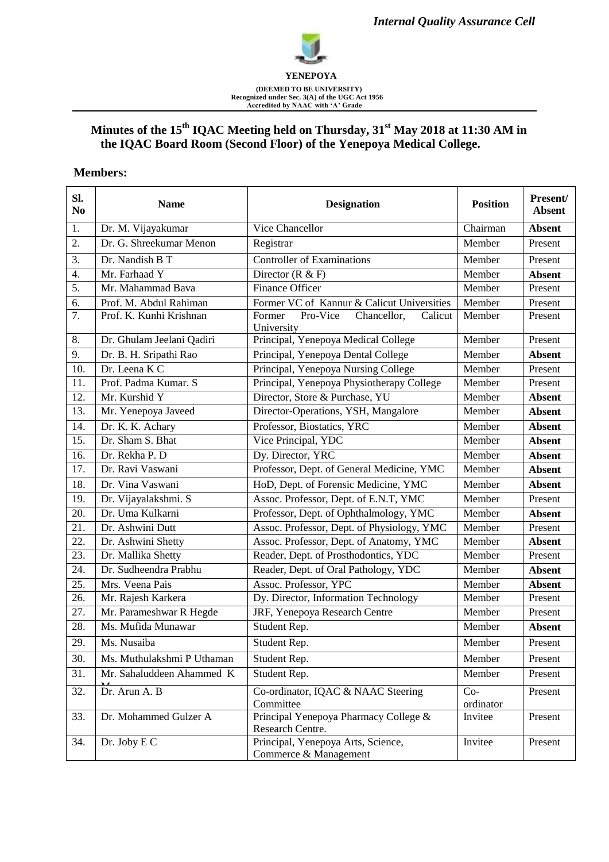

# **Minutes of the 15 th IQAC Meeting held on Thursday, 31st May 2018 at 11:30 AM in the IQAC Board Room (Second Floor) of the Yenepoya Medical College.**

#### **Members:**

| Sl.<br>N <sub>0</sub> | <b>Name</b>                | <b>Designation</b>                                          | <b>Position</b>    | Present/<br><b>Absent</b> |
|-----------------------|----------------------------|-------------------------------------------------------------|--------------------|---------------------------|
| 1.                    | Dr. M. Vijayakumar         | Vice Chancellor                                             | Chairman           | <b>Absent</b>             |
| 2.                    | Dr. G. Shreekumar Menon    | Registrar                                                   | Member             | Present                   |
| 3.                    | Dr. Nandish B T            | <b>Controller of Examinations</b>                           | Member             | Present                   |
| 4.                    | Mr. Farhaad Y              | Director $(R & F)$                                          | Member             | <b>Absent</b>             |
| $\overline{5}$ .      | Mr. Mahammad Bava          | <b>Finance Officer</b>                                      | Member             | Present                   |
| 6.                    | Prof. M. Abdul Rahiman     | Former VC of Kannur & Calicut Universities                  | Member             | Present                   |
| 7.                    | Prof. K. Kunhi Krishnan    | Pro-Vice<br>Chancellor,<br>Former<br>Calicut<br>University  | Member             | Present                   |
| 8.                    | Dr. Ghulam Jeelani Qadiri  | Principal, Yenepoya Medical College                         | Member             | Present                   |
| 9.                    | Dr. B. H. Sripathi Rao     | Principal, Yenepoya Dental College                          | Member             | <b>Absent</b>             |
| $\overline{10}$ .     | Dr. Leena K C              | Principal, Yenepoya Nursing College                         | Member             | Present                   |
| 11.                   | Prof. Padma Kumar. S       | Principal, Yenepoya Physiotherapy College                   | Member             | Present                   |
| 12.                   | Mr. Kurshid Y              | Director, Store & Purchase, YU                              | Member             | <b>Absent</b>             |
| 13.                   | Mr. Yenepoya Javeed        | Director-Operations, YSH, Mangalore                         | Member             | <b>Absent</b>             |
| 14.                   | Dr. K. K. Achary           | Professor, Biostatics, YRC                                  | Member             | <b>Absent</b>             |
| 15.                   | Dr. Sham S. Bhat           | Vice Principal, YDC                                         | Member             | <b>Absent</b>             |
| 16.                   | Dr. Rekha P. D             | Dy. Director, YRC                                           | Member             | <b>Absent</b>             |
| 17.                   | Dr. Ravi Vaswani           | Professor, Dept. of General Medicine, YMC                   | Member             | <b>Absent</b>             |
| 18.                   | Dr. Vina Vaswani           | HoD, Dept. of Forensic Medicine, YMC                        | Member             | <b>Absent</b>             |
| 19.                   | Dr. Vijayalakshmi. S       | Assoc. Professor, Dept. of E.N.T, YMC                       | Member             | Present                   |
| 20.                   | Dr. Uma Kulkarni           | Professor, Dept. of Ophthalmology, YMC                      | Member             | <b>Absent</b>             |
| 21.                   | Dr. Ashwini Dutt           | Assoc. Professor, Dept. of Physiology, YMC                  | Member             | Present                   |
| 22.                   | Dr. Ashwini Shetty         | Assoc. Professor, Dept. of Anatomy, YMC                     | Member             | <b>Absent</b>             |
| 23.                   | Dr. Mallika Shetty         | Reader, Dept. of Prosthodontics, YDC                        | Member             | Present                   |
| 24.                   | Dr. Sudheendra Prabhu      | Reader, Dept. of Oral Pathology, YDC                        | Member             | <b>Absent</b>             |
| $\overline{25}$ .     | Mrs. Veena Pais            | Assoc. Professor, YPC                                       | Member             | <b>Absent</b>             |
| 26.                   | Mr. Rajesh Karkera         | Dy. Director, Information Technology                        | Member             | Present                   |
| 27.                   | Mr. Parameshwar R Hegde    | JRF, Yenepoya Research Centre                               | Member             | Present                   |
| 28.                   | Ms. Mufida Munawar         | Student Rep.                                                | Member             | <b>Absent</b>             |
| 29                    | Ms. Nusaiba                | Student Rep.                                                | Member             | Present                   |
| 30.                   | Ms. Muthulakshmi P Uthaman | Student Rep.                                                | Member             | Present                   |
| 31.                   | Mr. Sahaluddeen Ahammed K  | Student Rep.                                                | Member             | Present                   |
| 32.                   | Dr. Arun A. B              | Co-ordinator, IQAC & NAAC Steering<br>Committee             | $Co-$<br>ordinator | Present                   |
| 33.                   | Dr. Mohammed Gulzer A      | Principal Yenepoya Pharmacy College &<br>Research Centre.   | Invitee            | Present                   |
| 34.                   | Dr. Joby E C               | Principal, Yenepoya Arts, Science,<br>Commerce & Management | Invitee            | Present                   |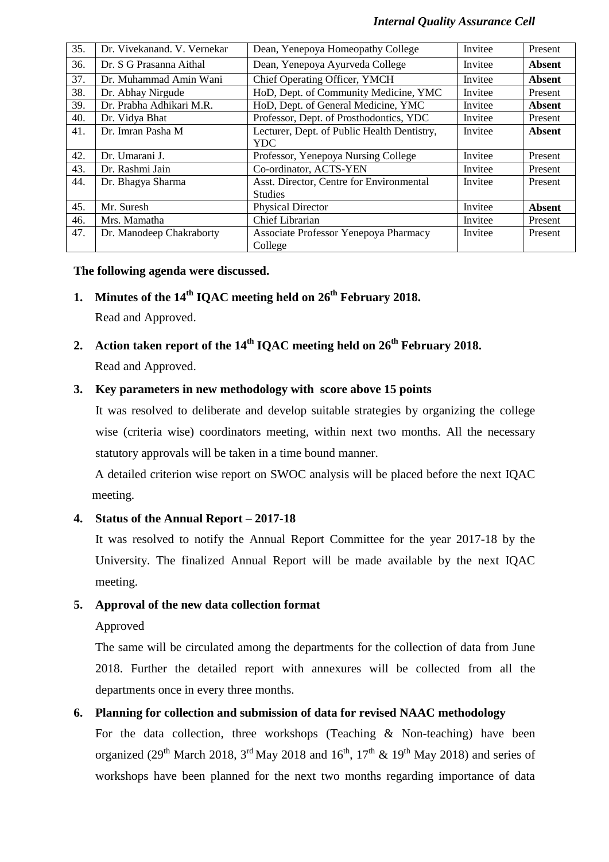#### *Internal Quality Assurance Cell*

| 35. | Dr. Vivekanand. V. Vernekar | Dean, Yenepoya Homeopathy College           | Invitee | Present       |
|-----|-----------------------------|---------------------------------------------|---------|---------------|
| 36. | Dr. S G Prasanna Aithal     | Dean, Yenepoya Ayurveda College             | Invitee | Absent        |
| 37. | Dr. Muhammad Amin Wani      | Chief Operating Officer, YMCH               | Invitee | <b>Absent</b> |
| 38. | Dr. Abhay Nirgude           | HoD, Dept. of Community Medicine, YMC       | Invitee | Present       |
| 39. | Dr. Prabha Adhikari M.R.    | HoD, Dept. of General Medicine, YMC         | Invitee | <b>Absent</b> |
| 40. | Dr. Vidya Bhat              | Professor, Dept. of Prosthodontics, YDC     | Invitee | Present       |
| 41. | Dr. Imran Pasha M           | Lecturer, Dept. of Public Health Dentistry, | Invitee | <b>Absent</b> |
|     |                             | <b>YDC</b>                                  |         |               |
| 42. | Dr. Umarani J.              | Professor, Yenepoya Nursing College         | Invitee | Present       |
| 43. | Dr. Rashmi Jain             | Co-ordinator, ACTS-YEN                      | Invitee | Present       |
| 44. | Dr. Bhagya Sharma           | Asst. Director, Centre for Environmental    | Invitee | Present       |
|     |                             | <b>Studies</b>                              |         |               |
| 45. | Mr. Suresh                  | <b>Physical Director</b>                    | Invitee | <b>Absent</b> |
| 46. | Mrs. Mamatha                | Chief Librarian                             | Invitee | Present       |
| 47. | Dr. Manodeep Chakraborty    | Associate Professor Yenepoya Pharmacy       | Invitee | Present       |
|     |                             | College                                     |         |               |

#### **The following agenda were discussed.**

# **1. Minutes of the 14 th IQAC meeting held on 26th February 2018.**

Read and Approved.

**2. Action taken report of the 14th IQAC meeting held on 26th February 2018.** Read and Approved.

### **3. Key parameters in new methodology with score above 15 points**

It was resolved to deliberate and develop suitable strategies by organizing the college wise (criteria wise) coordinators meeting, within next two months. All the necessary statutory approvals will be taken in a time bound manner.

A detailed criterion wise report on SWOC analysis will be placed before the next IQAC meeting.

# **4. Status of the Annual Report – 2017-18**

It was resolved to notify the Annual Report Committee for the year 2017-18 by the University. The finalized Annual Report will be made available by the next IQAC meeting.

# **5. Approval of the new data collection format**

Approved

The same will be circulated among the departments for the collection of data from June 2018. Further the detailed report with annexures will be collected from all the departments once in every three months.

# **6. Planning for collection and submission of data for revised NAAC methodology**

For the data collection, three workshops (Teaching & Non-teaching) have been organized (29<sup>th</sup> March 2018, 3<sup>rd</sup> May 2018 and 16<sup>th</sup>, 17<sup>th</sup> & 19<sup>th</sup> May 2018) and series of workshops have been planned for the next two months regarding importance of data